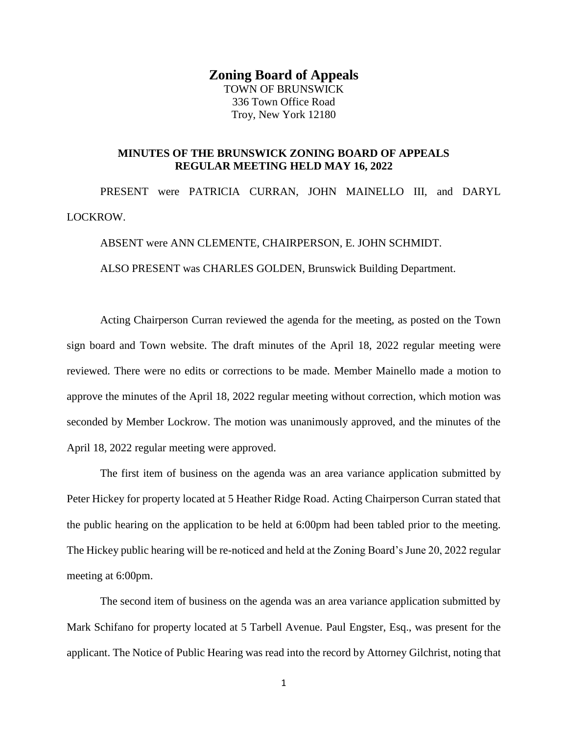## **Zoning Board of Appeals**

TOWN OF BRUNSWICK 336 Town Office Road Troy, New York 12180

## **MINUTES OF THE BRUNSWICK ZONING BOARD OF APPEALS REGULAR MEETING HELD MAY 16, 2022**

PRESENT were PATRICIA CURRAN, JOHN MAINELLO III, and DARYL LOCKROW.

ABSENT were ANN CLEMENTE, CHAIRPERSON, E. JOHN SCHMIDT.

ALSO PRESENT was CHARLES GOLDEN, Brunswick Building Department.

Acting Chairperson Curran reviewed the agenda for the meeting, as posted on the Town sign board and Town website. The draft minutes of the April 18, 2022 regular meeting were reviewed. There were no edits or corrections to be made. Member Mainello made a motion to approve the minutes of the April 18, 2022 regular meeting without correction, which motion was seconded by Member Lockrow. The motion was unanimously approved, and the minutes of the April 18, 2022 regular meeting were approved.

The first item of business on the agenda was an area variance application submitted by Peter Hickey for property located at 5 Heather Ridge Road. Acting Chairperson Curran stated that the public hearing on the application to be held at 6:00pm had been tabled prior to the meeting. The Hickey public hearing will be re-noticed and held at the Zoning Board's June 20, 2022 regular meeting at 6:00pm.

The second item of business on the agenda was an area variance application submitted by Mark Schifano for property located at 5 Tarbell Avenue. Paul Engster, Esq., was present for the applicant. The Notice of Public Hearing was read into the record by Attorney Gilchrist, noting that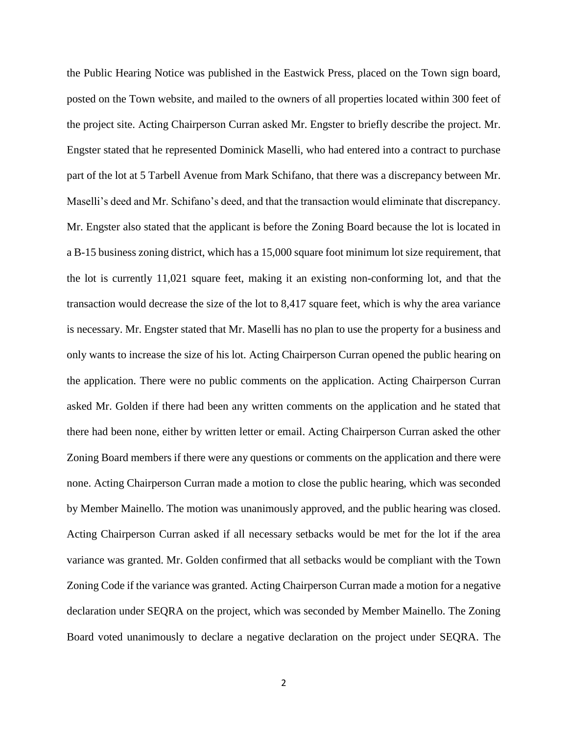the Public Hearing Notice was published in the Eastwick Press, placed on the Town sign board, posted on the Town website, and mailed to the owners of all properties located within 300 feet of the project site. Acting Chairperson Curran asked Mr. Engster to briefly describe the project. Mr. Engster stated that he represented Dominick Maselli, who had entered into a contract to purchase part of the lot at 5 Tarbell Avenue from Mark Schifano, that there was a discrepancy between Mr. Maselli's deed and Mr. Schifano's deed, and that the transaction would eliminate that discrepancy. Mr. Engster also stated that the applicant is before the Zoning Board because the lot is located in a B-15 business zoning district, which has a 15,000 square foot minimum lot size requirement, that the lot is currently 11,021 square feet, making it an existing non-conforming lot, and that the transaction would decrease the size of the lot to 8,417 square feet, which is why the area variance is necessary. Mr. Engster stated that Mr. Maselli has no plan to use the property for a business and only wants to increase the size of his lot. Acting Chairperson Curran opened the public hearing on the application. There were no public comments on the application. Acting Chairperson Curran asked Mr. Golden if there had been any written comments on the application and he stated that there had been none, either by written letter or email. Acting Chairperson Curran asked the other Zoning Board members if there were any questions or comments on the application and there were none. Acting Chairperson Curran made a motion to close the public hearing, which was seconded by Member Mainello. The motion was unanimously approved, and the public hearing was closed. Acting Chairperson Curran asked if all necessary setbacks would be met for the lot if the area variance was granted. Mr. Golden confirmed that all setbacks would be compliant with the Town Zoning Code if the variance was granted. Acting Chairperson Curran made a motion for a negative declaration under SEQRA on the project, which was seconded by Member Mainello. The Zoning Board voted unanimously to declare a negative declaration on the project under SEQRA. The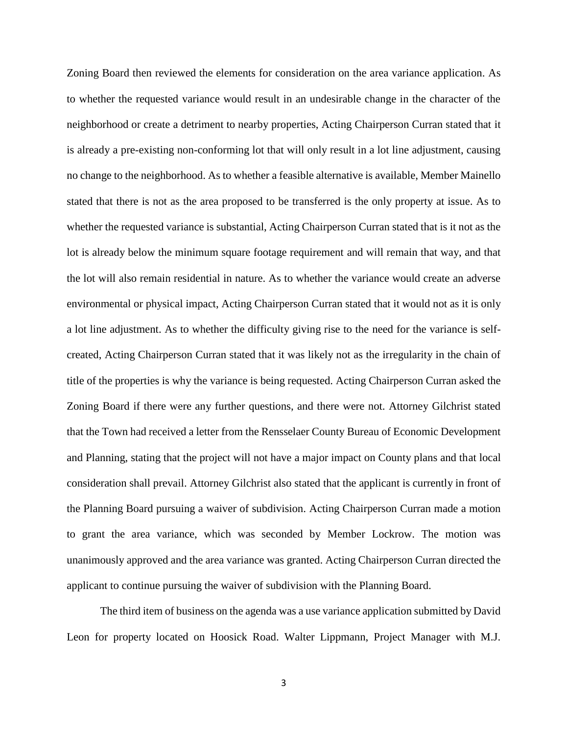Zoning Board then reviewed the elements for consideration on the area variance application. As to whether the requested variance would result in an undesirable change in the character of the neighborhood or create a detriment to nearby properties, Acting Chairperson Curran stated that it is already a pre-existing non-conforming lot that will only result in a lot line adjustment, causing no change to the neighborhood. As to whether a feasible alternative is available, Member Mainello stated that there is not as the area proposed to be transferred is the only property at issue. As to whether the requested variance is substantial, Acting Chairperson Curran stated that is it not as the lot is already below the minimum square footage requirement and will remain that way, and that the lot will also remain residential in nature. As to whether the variance would create an adverse environmental or physical impact, Acting Chairperson Curran stated that it would not as it is only a lot line adjustment. As to whether the difficulty giving rise to the need for the variance is selfcreated, Acting Chairperson Curran stated that it was likely not as the irregularity in the chain of title of the properties is why the variance is being requested. Acting Chairperson Curran asked the Zoning Board if there were any further questions, and there were not. Attorney Gilchrist stated that the Town had received a letter from the Rensselaer County Bureau of Economic Development and Planning, stating that the project will not have a major impact on County plans and that local consideration shall prevail. Attorney Gilchrist also stated that the applicant is currently in front of the Planning Board pursuing a waiver of subdivision. Acting Chairperson Curran made a motion to grant the area variance, which was seconded by Member Lockrow. The motion was unanimously approved and the area variance was granted. Acting Chairperson Curran directed the applicant to continue pursuing the waiver of subdivision with the Planning Board.

The third item of business on the agenda was a use variance application submitted by David Leon for property located on Hoosick Road. Walter Lippmann, Project Manager with M.J.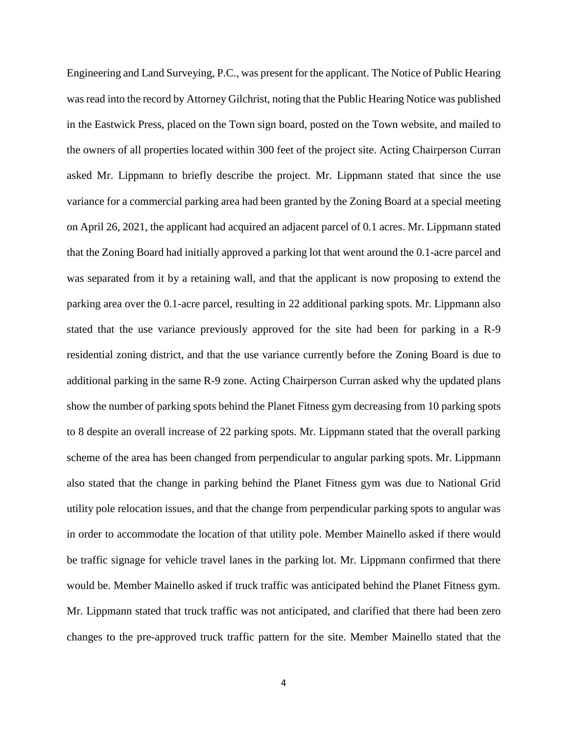Engineering and Land Surveying, P.C., was present for the applicant. The Notice of Public Hearing was read into the record by Attorney Gilchrist, noting that the Public Hearing Notice was published in the Eastwick Press, placed on the Town sign board, posted on the Town website, and mailed to the owners of all properties located within 300 feet of the project site. Acting Chairperson Curran asked Mr. Lippmann to briefly describe the project. Mr. Lippmann stated that since the use variance for a commercial parking area had been granted by the Zoning Board at a special meeting on April 26, 2021, the applicant had acquired an adjacent parcel of 0.1 acres. Mr. Lippmann stated that the Zoning Board had initially approved a parking lot that went around the 0.1-acre parcel and was separated from it by a retaining wall, and that the applicant is now proposing to extend the parking area over the 0.1-acre parcel, resulting in 22 additional parking spots. Mr. Lippmann also stated that the use variance previously approved for the site had been for parking in a R-9 residential zoning district, and that the use variance currently before the Zoning Board is due to additional parking in the same R-9 zone. Acting Chairperson Curran asked why the updated plans show the number of parking spots behind the Planet Fitness gym decreasing from 10 parking spots to 8 despite an overall increase of 22 parking spots. Mr. Lippmann stated that the overall parking scheme of the area has been changed from perpendicular to angular parking spots. Mr. Lippmann also stated that the change in parking behind the Planet Fitness gym was due to National Grid utility pole relocation issues, and that the change from perpendicular parking spots to angular was in order to accommodate the location of that utility pole. Member Mainello asked if there would be traffic signage for vehicle travel lanes in the parking lot. Mr. Lippmann confirmed that there would be. Member Mainello asked if truck traffic was anticipated behind the Planet Fitness gym. Mr. Lippmann stated that truck traffic was not anticipated, and clarified that there had been zero changes to the pre-approved truck traffic pattern for the site. Member Mainello stated that the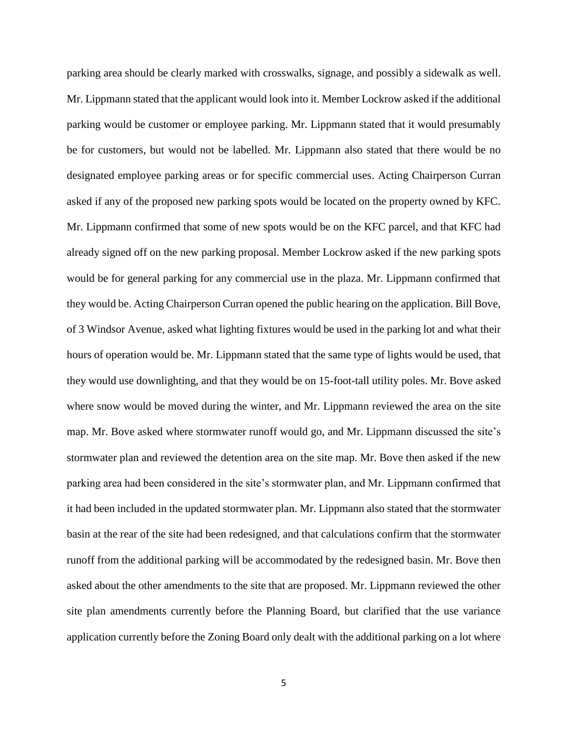parking area should be clearly marked with crosswalks, signage, and possibly a sidewalk as well. Mr. Lippmann stated that the applicant would look into it. Member Lockrow asked if the additional parking would be customer or employee parking. Mr. Lippmann stated that it would presumably be for customers, but would not be labelled. Mr. Lippmann also stated that there would be no designated employee parking areas or for specific commercial uses. Acting Chairperson Curran asked if any of the proposed new parking spots would be located on the property owned by KFC. Mr. Lippmann confirmed that some of new spots would be on the KFC parcel, and that KFC had already signed off on the new parking proposal. Member Lockrow asked if the new parking spots would be for general parking for any commercial use in the plaza. Mr. Lippmann confirmed that they would be. Acting Chairperson Curran opened the public hearing on the application. Bill Bove, of 3 Windsor Avenue, asked what lighting fixtures would be used in the parking lot and what their hours of operation would be. Mr. Lippmann stated that the same type of lights would be used, that they would use downlighting, and that they would be on 15-foot-tall utility poles. Mr. Bove asked where snow would be moved during the winter, and Mr. Lippmann reviewed the area on the site map. Mr. Bove asked where stormwater runoff would go, and Mr. Lippmann discussed the site's stormwater plan and reviewed the detention area on the site map. Mr. Bove then asked if the new parking area had been considered in the site's stormwater plan, and Mr. Lippmann confirmed that it had been included in the updated stormwater plan. Mr. Lippmann also stated that the stormwater basin at the rear of the site had been redesigned, and that calculations confirm that the stormwater runoff from the additional parking will be accommodated by the redesigned basin. Mr. Bove then asked about the other amendments to the site that are proposed. Mr. Lippmann reviewed the other site plan amendments currently before the Planning Board, but clarified that the use variance application currently before the Zoning Board only dealt with the additional parking on a lot where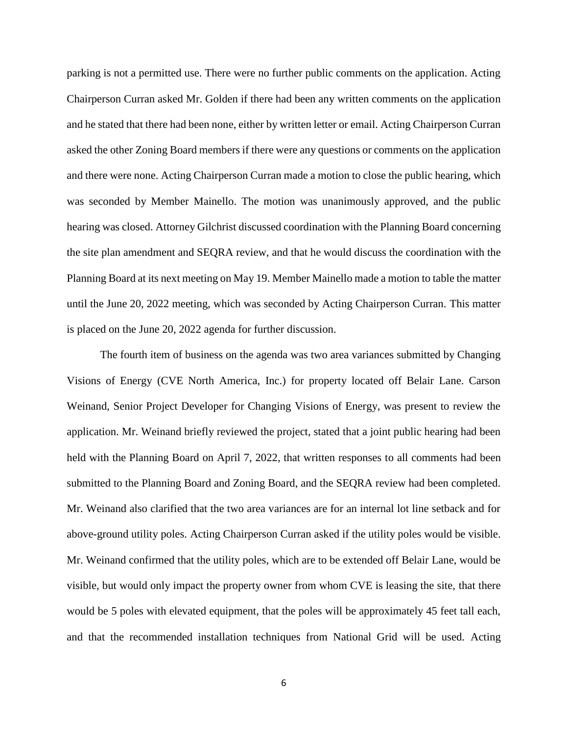parking is not a permitted use. There were no further public comments on the application. Acting Chairperson Curran asked Mr. Golden if there had been any written comments on the application and he stated that there had been none, either by written letter or email. Acting Chairperson Curran asked the other Zoning Board members if there were any questions or comments on the application and there were none. Acting Chairperson Curran made a motion to close the public hearing, which was seconded by Member Mainello. The motion was unanimously approved, and the public hearing was closed. Attorney Gilchrist discussed coordination with the Planning Board concerning the site plan amendment and SEQRA review, and that he would discuss the coordination with the Planning Board at its next meeting on May 19. Member Mainello made a motion to table the matter until the June 20, 2022 meeting, which was seconded by Acting Chairperson Curran. This matter is placed on the June 20, 2022 agenda for further discussion.

The fourth item of business on the agenda was two area variances submitted by Changing Visions of Energy (CVE North America, Inc.) for property located off Belair Lane. Carson Weinand, Senior Project Developer for Changing Visions of Energy, was present to review the application. Mr. Weinand briefly reviewed the project, stated that a joint public hearing had been held with the Planning Board on April 7, 2022, that written responses to all comments had been submitted to the Planning Board and Zoning Board, and the SEQRA review had been completed. Mr. Weinand also clarified that the two area variances are for an internal lot line setback and for above-ground utility poles. Acting Chairperson Curran asked if the utility poles would be visible. Mr. Weinand confirmed that the utility poles, which are to be extended off Belair Lane, would be visible, but would only impact the property owner from whom CVE is leasing the site, that there would be 5 poles with elevated equipment, that the poles will be approximately 45 feet tall each, and that the recommended installation techniques from National Grid will be used. Acting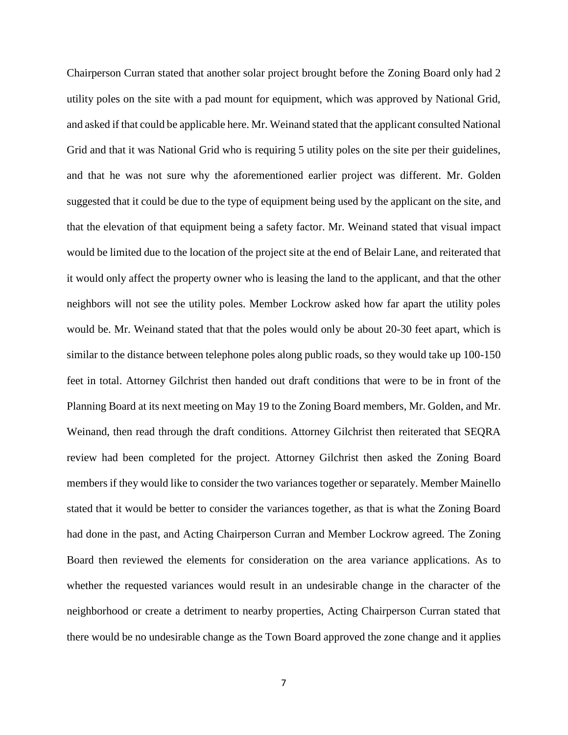Chairperson Curran stated that another solar project brought before the Zoning Board only had 2 utility poles on the site with a pad mount for equipment, which was approved by National Grid, and asked if that could be applicable here. Mr. Weinand stated that the applicant consulted National Grid and that it was National Grid who is requiring 5 utility poles on the site per their guidelines, and that he was not sure why the aforementioned earlier project was different. Mr. Golden suggested that it could be due to the type of equipment being used by the applicant on the site, and that the elevation of that equipment being a safety factor. Mr. Weinand stated that visual impact would be limited due to the location of the project site at the end of Belair Lane, and reiterated that it would only affect the property owner who is leasing the land to the applicant, and that the other neighbors will not see the utility poles. Member Lockrow asked how far apart the utility poles would be. Mr. Weinand stated that that the poles would only be about 20-30 feet apart, which is similar to the distance between telephone poles along public roads, so they would take up 100-150 feet in total. Attorney Gilchrist then handed out draft conditions that were to be in front of the Planning Board at its next meeting on May 19 to the Zoning Board members, Mr. Golden, and Mr. Weinand, then read through the draft conditions. Attorney Gilchrist then reiterated that SEQRA review had been completed for the project. Attorney Gilchrist then asked the Zoning Board members if they would like to consider the two variances together or separately. Member Mainello stated that it would be better to consider the variances together, as that is what the Zoning Board had done in the past, and Acting Chairperson Curran and Member Lockrow agreed. The Zoning Board then reviewed the elements for consideration on the area variance applications. As to whether the requested variances would result in an undesirable change in the character of the neighborhood or create a detriment to nearby properties, Acting Chairperson Curran stated that there would be no undesirable change as the Town Board approved the zone change and it applies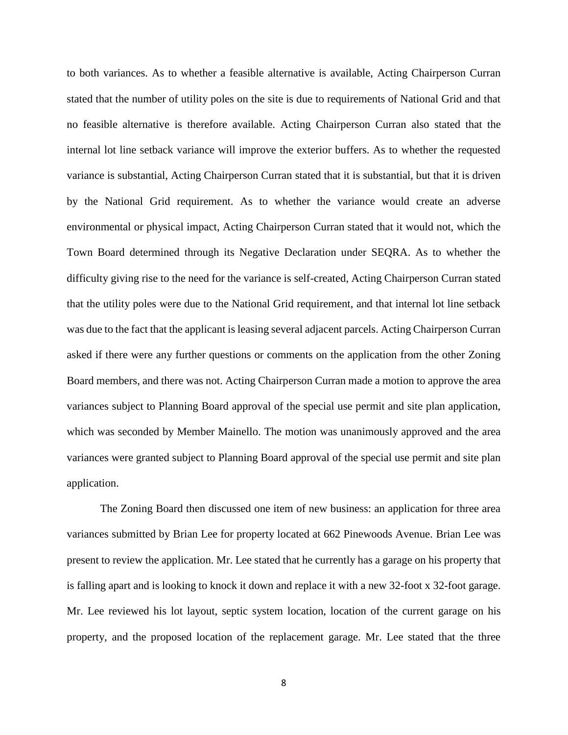to both variances. As to whether a feasible alternative is available, Acting Chairperson Curran stated that the number of utility poles on the site is due to requirements of National Grid and that no feasible alternative is therefore available. Acting Chairperson Curran also stated that the internal lot line setback variance will improve the exterior buffers. As to whether the requested variance is substantial, Acting Chairperson Curran stated that it is substantial, but that it is driven by the National Grid requirement. As to whether the variance would create an adverse environmental or physical impact, Acting Chairperson Curran stated that it would not, which the Town Board determined through its Negative Declaration under SEQRA. As to whether the difficulty giving rise to the need for the variance is self-created, Acting Chairperson Curran stated that the utility poles were due to the National Grid requirement, and that internal lot line setback was due to the fact that the applicant is leasing several adjacent parcels. Acting Chairperson Curran asked if there were any further questions or comments on the application from the other Zoning Board members, and there was not. Acting Chairperson Curran made a motion to approve the area variances subject to Planning Board approval of the special use permit and site plan application, which was seconded by Member Mainello. The motion was unanimously approved and the area variances were granted subject to Planning Board approval of the special use permit and site plan application.

The Zoning Board then discussed one item of new business: an application for three area variances submitted by Brian Lee for property located at 662 Pinewoods Avenue. Brian Lee was present to review the application. Mr. Lee stated that he currently has a garage on his property that is falling apart and is looking to knock it down and replace it with a new 32-foot x 32-foot garage. Mr. Lee reviewed his lot layout, septic system location, location of the current garage on his property, and the proposed location of the replacement garage. Mr. Lee stated that the three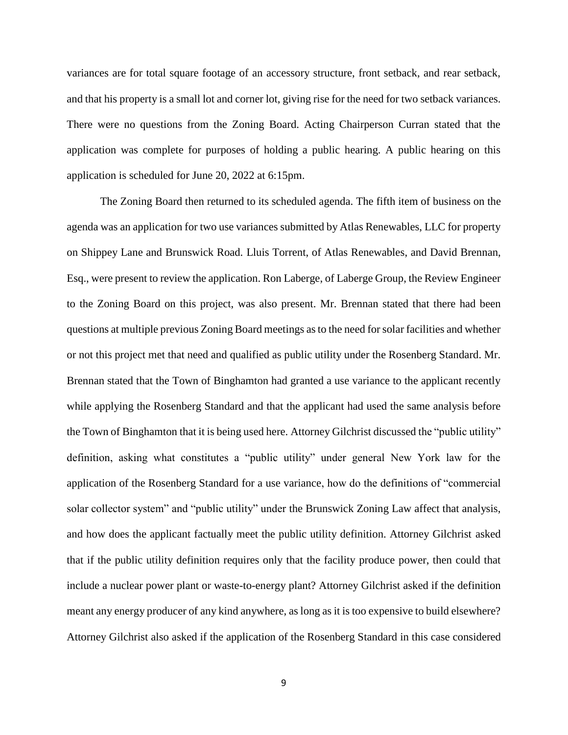variances are for total square footage of an accessory structure, front setback, and rear setback, and that his property is a small lot and corner lot, giving rise for the need for two setback variances. There were no questions from the Zoning Board. Acting Chairperson Curran stated that the application was complete for purposes of holding a public hearing. A public hearing on this application is scheduled for June 20, 2022 at 6:15pm.

The Zoning Board then returned to its scheduled agenda. The fifth item of business on the agenda was an application for two use variances submitted by Atlas Renewables, LLC for property on Shippey Lane and Brunswick Road. Lluis Torrent, of Atlas Renewables, and David Brennan, Esq., were present to review the application. Ron Laberge, of Laberge Group, the Review Engineer to the Zoning Board on this project, was also present. Mr. Brennan stated that there had been questions at multiple previous Zoning Board meetings as to the need for solar facilities and whether or not this project met that need and qualified as public utility under the Rosenberg Standard. Mr. Brennan stated that the Town of Binghamton had granted a use variance to the applicant recently while applying the Rosenberg Standard and that the applicant had used the same analysis before the Town of Binghamton that it is being used here. Attorney Gilchrist discussed the "public utility" definition, asking what constitutes a "public utility" under general New York law for the application of the Rosenberg Standard for a use variance, how do the definitions of "commercial solar collector system" and "public utility" under the Brunswick Zoning Law affect that analysis, and how does the applicant factually meet the public utility definition. Attorney Gilchrist asked that if the public utility definition requires only that the facility produce power, then could that include a nuclear power plant or waste-to-energy plant? Attorney Gilchrist asked if the definition meant any energy producer of any kind anywhere, as long as it is too expensive to build elsewhere? Attorney Gilchrist also asked if the application of the Rosenberg Standard in this case considered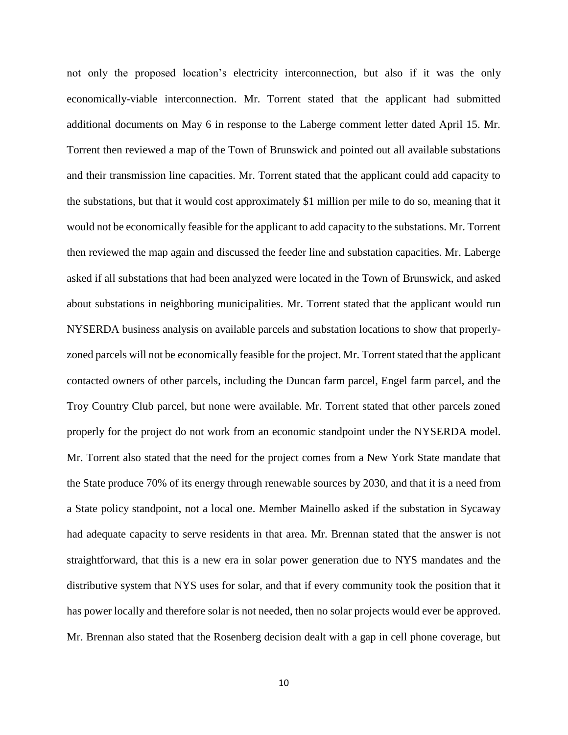not only the proposed location's electricity interconnection, but also if it was the only economically-viable interconnection. Mr. Torrent stated that the applicant had submitted additional documents on May 6 in response to the Laberge comment letter dated April 15. Mr. Torrent then reviewed a map of the Town of Brunswick and pointed out all available substations and their transmission line capacities. Mr. Torrent stated that the applicant could add capacity to the substations, but that it would cost approximately \$1 million per mile to do so, meaning that it would not be economically feasible for the applicant to add capacity to the substations. Mr. Torrent then reviewed the map again and discussed the feeder line and substation capacities. Mr. Laberge asked if all substations that had been analyzed were located in the Town of Brunswick, and asked about substations in neighboring municipalities. Mr. Torrent stated that the applicant would run NYSERDA business analysis on available parcels and substation locations to show that properlyzoned parcels will not be economically feasible for the project. Mr. Torrent stated that the applicant contacted owners of other parcels, including the Duncan farm parcel, Engel farm parcel, and the Troy Country Club parcel, but none were available. Mr. Torrent stated that other parcels zoned properly for the project do not work from an economic standpoint under the NYSERDA model. Mr. Torrent also stated that the need for the project comes from a New York State mandate that the State produce 70% of its energy through renewable sources by 2030, and that it is a need from a State policy standpoint, not a local one. Member Mainello asked if the substation in Sycaway had adequate capacity to serve residents in that area. Mr. Brennan stated that the answer is not straightforward, that this is a new era in solar power generation due to NYS mandates and the distributive system that NYS uses for solar, and that if every community took the position that it has power locally and therefore solar is not needed, then no solar projects would ever be approved. Mr. Brennan also stated that the Rosenberg decision dealt with a gap in cell phone coverage, but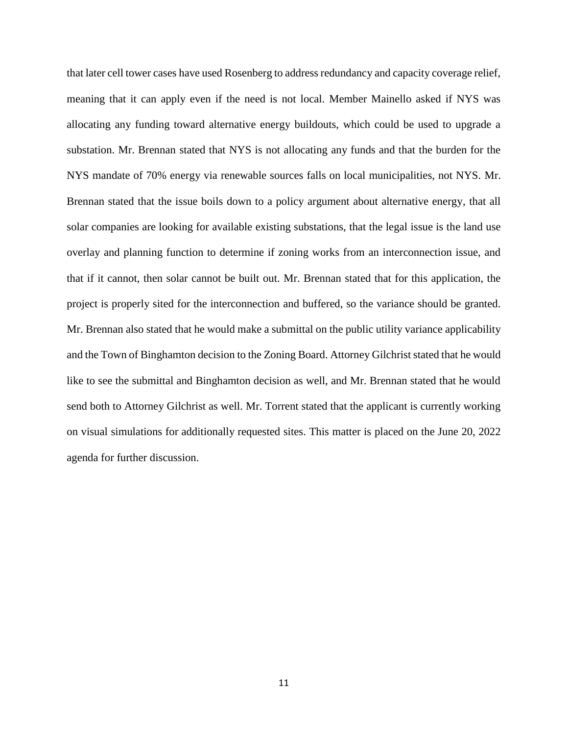that later cell tower cases have used Rosenberg to address redundancy and capacity coverage relief, meaning that it can apply even if the need is not local. Member Mainello asked if NYS was allocating any funding toward alternative energy buildouts, which could be used to upgrade a substation. Mr. Brennan stated that NYS is not allocating any funds and that the burden for the NYS mandate of 70% energy via renewable sources falls on local municipalities, not NYS. Mr. Brennan stated that the issue boils down to a policy argument about alternative energy, that all solar companies are looking for available existing substations, that the legal issue is the land use overlay and planning function to determine if zoning works from an interconnection issue, and that if it cannot, then solar cannot be built out. Mr. Brennan stated that for this application, the project is properly sited for the interconnection and buffered, so the variance should be granted. Mr. Brennan also stated that he would make a submittal on the public utility variance applicability and the Town of Binghamton decision to the Zoning Board. Attorney Gilchrist stated that he would like to see the submittal and Binghamton decision as well, and Mr. Brennan stated that he would send both to Attorney Gilchrist as well. Mr. Torrent stated that the applicant is currently working on visual simulations for additionally requested sites. This matter is placed on the June 20, 2022 agenda for further discussion.